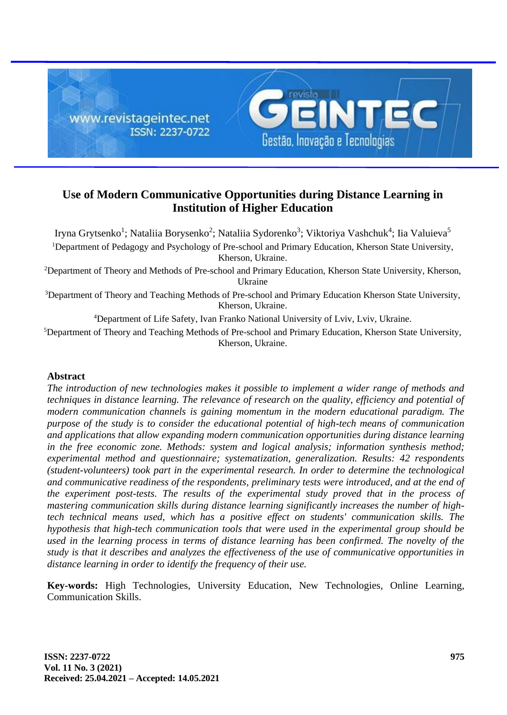

# **Use of Modern Communicative Opportunities during Distance Learning in Institution of Higher Education**

Iryna Grytsenko<sup>1</sup>; Nataliia Borysenko<sup>2</sup>; Nataliia Sydorenko<sup>3</sup>; Viktoriya Vashchuk<sup>4</sup>; Iia Valuieva<sup>5</sup> <sup>1</sup>Department of Pedagogy and Psychology of Pre-school and Primary Education, Kherson State University, Kherson, Ukraine.

<sup>2</sup>Department of Theory and Methods of Pre-school and Primary Education, Kherson State University, Kherson, Ukraine

<sup>3</sup>Department of Theory and Teaching Methods of Pre-school and Primary Education Kherson State University, Kherson, Ukraine.

<sup>4</sup>Department of Life Safety, Ivan Franko National University of Lviv, Lviv, Ukraine.

<sup>5</sup>Department of Theory and Teaching Methods of Pre-school and Primary Education, Kherson State University, Kherson, Ukraine.

## **Abstract**

*The introduction of new technologies makes it possible to implement a wider range of methods and techniques in distance learning. The relevance of research on the quality, efficiency and potential of modern communication channels is gaining momentum in the modern educational paradigm. The purpose of the study is to consider the educational potential of high-tech means of communication and applications that allow expanding modern communication opportunities during distance learning in the free economic zone. Methods: system and logical analysis; information synthesis method; experimental method and questionnaire; systematization, generalization. Results: 42 respondents (student-volunteers) took part in the experimental research. In order to determine the technological and communicative readiness of the respondents, preliminary tests were introduced, and at the end of the experiment post-tests. The results of the experimental study proved that in the process of mastering communication skills during distance learning significantly increases the number of hightech technical means used, which has a positive effect on students' communication skills. The hypothesis that high-tech communication tools that were used in the experimental group should be used in the learning process in terms of distance learning has been confirmed. The novelty of the study is that it describes and analyzes the effectiveness of the use of communicative opportunities in distance learning in order to identify the frequency of their use.*

**Key-words:** High Technologies, University Education, New Technologies, Online Learning, Communication Skills.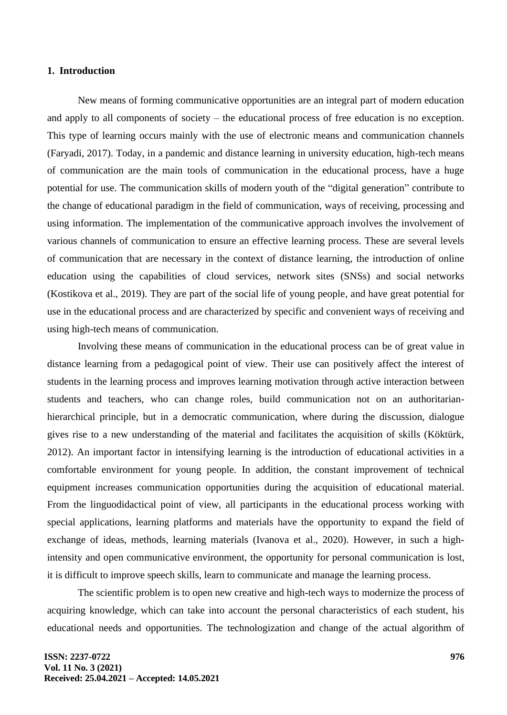#### **1. Introduction**

New means of forming communicative opportunities are an integral part of modern education and apply to all components of society – the educational process of free education is no exception. This type of learning occurs mainly with the use of electronic means and communication channels (Faryadi, 2017). Today, in a pandemic and distance learning in university education, high-tech means of communication are the main tools of communication in the educational process, have a huge potential for use. The communication skills of modern youth of the "digital generation" contribute to the change of educational paradigm in the field of communication, ways of receiving, processing and using information. The implementation of the communicative approach involves the involvement of various channels of communication to ensure an effective learning process. These are several levels of communication that are necessary in the context of distance learning, the introduction of online education using the capabilities of cloud services, network sites (SNSs) and social networks (Kostikova et al., 2019). They are part of the social life of young people, and have great potential for use in the educational process and are characterized by specific and convenient ways of receiving and using high-tech means of communication.

Involving these means of communication in the educational process can be of great value in distance learning from a pedagogical point of view. Their use can positively affect the interest of students in the learning process and improves learning motivation through active interaction between students and teachers, who can change roles, build communication not on an authoritarianhierarchical principle, but in a democratic communication, where during the discussion, dialogue gives rise to a new understanding of the material and facilitates the acquisition of skills (Köktürk, 2012). An important factor in intensifying learning is the introduction of educational activities in a comfortable environment for young people. In addition, the constant improvement of technical equipment increases communication opportunities during the acquisition of educational material. From the linguodidactical point of view, all participants in the educational process working with special applications, learning platforms and materials have the opportunity to expand the field of exchange of ideas, methods, learning materials (Ivanova et al., 2020). However, in such a highintensity and open communicative environment, the opportunity for personal communication is lost, it is difficult to improve speech skills, learn to communicate and manage the learning process.

The scientific problem is to open new creative and high-tech ways to modernize the process of acquiring knowledge, which can take into account the personal characteristics of each student, his educational needs and opportunities. The technologization and change of the actual algorithm of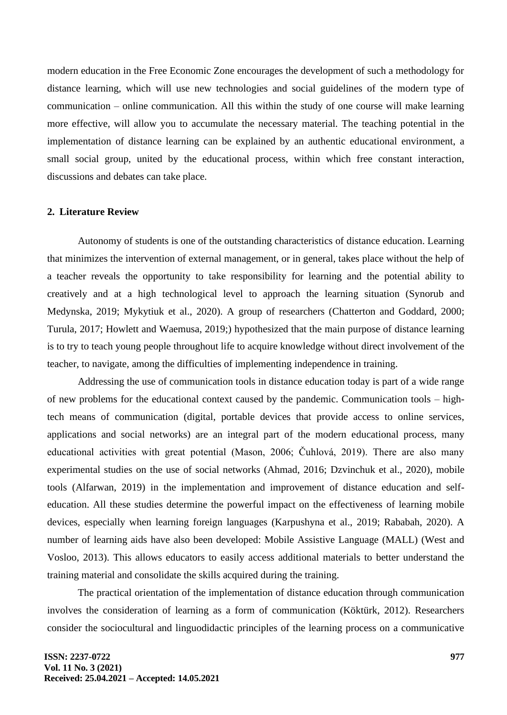modern education in the Free Economic Zone encourages the development of such a methodology for distance learning, which will use new technologies and social guidelines of the modern type of communication – online communication. All this within the study of one course will make learning more effective, will allow you to accumulate the necessary material. The teaching potential in the implementation of distance learning can be explained by an authentic educational environment, a small social group, united by the educational process, within which free constant interaction, discussions and debates can take place.

#### **2. Literature Review**

Autonomy of students is one of the outstanding characteristics of distance education. Learning that minimizes the intervention of external management, or in general, takes place without the help of a teacher reveals the opportunity to take responsibility for learning and the potential ability to creatively and at a high technological level to approach the learning situation (Synorub and Medynska, 2019; Mykytiuk et al., 2020). A group of researchers (Chatterton and Goddard, 2000; Turula, 2017; Howlett and Waemusa, 2019;) hypothesized that the main purpose of distance learning is to try to teach young people throughout life to acquire knowledge without direct involvement of the teacher, to navigate, among the difficulties of implementing independence in training.

Addressing the use of communication tools in distance education today is part of a wide range of new problems for the educational context caused by the pandemic. Communication tools – hightech means of communication (digital, portable devices that provide access to online services, applications and social networks) are an integral part of the modern educational process, many educational activities with great potential (Mason, 2006; Čuhlová, 2019). There are also many experimental studies on the use of social networks (Ahmad, 2016; Dzvinchuk et al., 2020), mobile tools (Alfarwan, 2019) in the implementation and improvement of distance education and selfeducation. All these studies determine the powerful impact on the effectiveness of learning mobile devices, especially when learning foreign languages (Karpushyna et al., 2019; Rababah, 2020). A number of learning aids have also been developed: Mobile Assistive Language (MALL) (West and Vosloo, 2013). This allows educators to easily access additional materials to better understand the training material and consolidate the skills acquired during the training.

The practical orientation of the implementation of distance education through communication involves the consideration of learning as a form of communication (Köktürk, 2012). Researchers consider the sociocultural and linguodidactic principles of the learning process on a communicative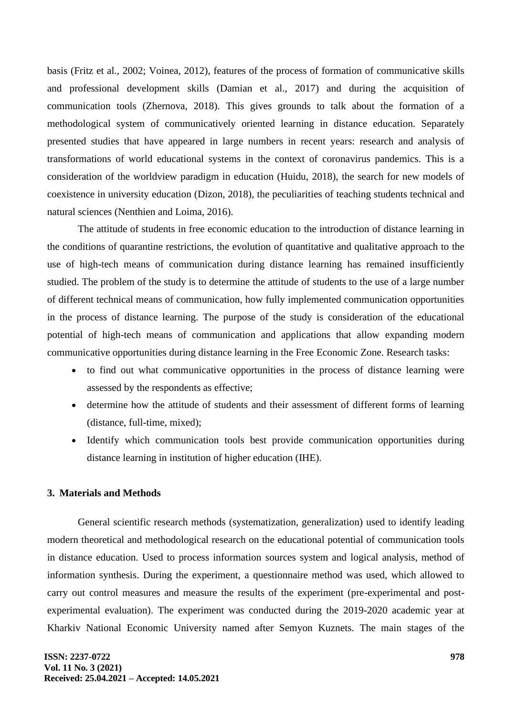basis (Fritz et al., 2002; Voinea, 2012), features of the process of formation of communicative skills and professional development skills (Damian et al., 2017) and during the acquisition of communication tools (Zhernova, 2018). This gives grounds to talk about the formation of a methodological system of communicatively oriented learning in distance education. Separately presented studies that have appeared in large numbers in recent years: research and analysis of transformations of world educational systems in the context of coronavirus pandemics. This is a consideration of the worldview paradigm in education (Huidu, 2018), the search for new models of coexistence in university education (Dizon, 2018), the peculiarities of teaching students technical and natural sciences (Nenthien and Loima, 2016).

The attitude of students in free economic education to the introduction of distance learning in the conditions of quarantine restrictions, the evolution of quantitative and qualitative approach to the use of high-tech means of communication during distance learning has remained insufficiently studied. The problem of the study is to determine the attitude of students to the use of a large number of different technical means of communication, how fully implemented communication opportunities in the process of distance learning. The purpose of the study is consideration of the educational potential of high-tech means of communication and applications that allow expanding modern communicative opportunities during distance learning in the Free Economic Zone. Research tasks:

- to find out what communicative opportunities in the process of distance learning were assessed by the respondents as effective;
- determine how the attitude of students and their assessment of different forms of learning (distance, full-time, mixed);
- Identify which communication tools best provide communication opportunities during distance learning in institution of higher education (IHE).

#### **3. Materials and Methods**

General scientific research methods (systematization, generalization) used to identify leading modern theoretical and methodological research on the educational potential of communication tools in distance education. Used to process information sources system and logical analysis, method of information synthesis. During the experiment, a questionnaire method was used, which allowed to carry out control measures and measure the results of the experiment (pre-experimental and postexperimental evaluation). The experiment was conducted during the 2019-2020 academic year at Kharkiv National Economic University named after Semyon Kuznets. The main stages of the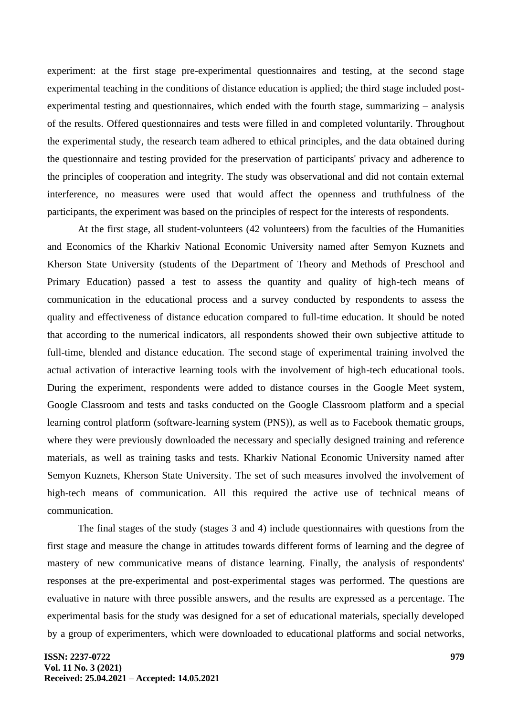experiment: at the first stage pre-experimental questionnaires and testing, at the second stage experimental teaching in the conditions of distance education is applied; the third stage included postexperimental testing and questionnaires, which ended with the fourth stage, summarizing – analysis of the results. Offered questionnaires and tests were filled in and completed voluntarily. Throughout the experimental study, the research team adhered to ethical principles, and the data obtained during the questionnaire and testing provided for the preservation of participants' privacy and adherence to the principles of cooperation and integrity. The study was observational and did not contain external interference, no measures were used that would affect the openness and truthfulness of the participants, the experiment was based on the principles of respect for the interests of respondents.

At the first stage, all student-volunteers (42 volunteers) from the faculties of the Humanities and Economics of the Kharkiv National Economic University named after Semyon Kuznets and Kherson State University (students of the Department of Theory and Methods of Preschool and Primary Education) passed a test to assess the quantity and quality of high-tech means of communication in the educational process and a survey conducted by respondents to assess the quality and effectiveness of distance education compared to full-time education. It should be noted that according to the numerical indicators, all respondents showed their own subjective attitude to full-time, blended and distance education. The second stage of experimental training involved the actual activation of interactive learning tools with the involvement of high-tech educational tools. During the experiment, respondents were added to distance courses in the Google Meet system, Google Classroom and tests and tasks conducted on the Google Classroom platform and a special learning control platform (software-learning system (PNS)), as well as to Facebook thematic groups, where they were previously downloaded the necessary and specially designed training and reference materials, as well as training tasks and tests. Kharkiv National Economic University named after Semyon Kuznets, Kherson State University. The set of such measures involved the involvement of high-tech means of communication. All this required the active use of technical means of communication.

The final stages of the study (stages 3 and 4) include questionnaires with questions from the first stage and measure the change in attitudes towards different forms of learning and the degree of mastery of new communicative means of distance learning. Finally, the analysis of respondents' responses at the pre-experimental and post-experimental stages was performed. The questions are evaluative in nature with three possible answers, and the results are expressed as a percentage. The experimental basis for the study was designed for a set of educational materials, specially developed by a group of experimenters, which were downloaded to educational platforms and social networks,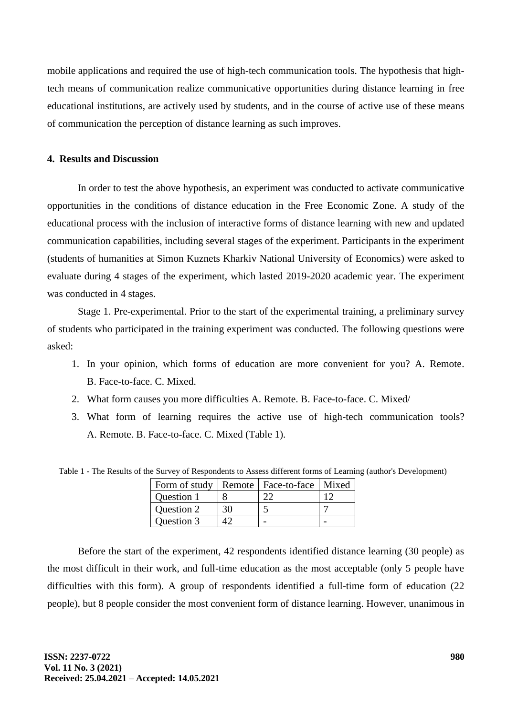mobile applications and required the use of high-tech communication tools. The hypothesis that hightech means of communication realize communicative opportunities during distance learning in free educational institutions, are actively used by students, and in the course of active use of these means of communication the perception of distance learning as such improves.

### **4. Results and Discussion**

In order to test the above hypothesis, an experiment was conducted to activate communicative opportunities in the conditions of distance education in the Free Economic Zone. A study of the educational process with the inclusion of interactive forms of distance learning with new and updated communication capabilities, including several stages of the experiment. Participants in the experiment (students of humanities at Simon Kuznets Kharkiv National University of Economics) were asked to evaluate during 4 stages of the experiment, which lasted 2019-2020 academic year. The experiment was conducted in 4 stages.

Stage 1. Pre-experimental. Prior to the start of the experimental training, a preliminary survey of students who participated in the training experiment was conducted. The following questions were asked:

- 1. In your opinion, which forms of education are more convenient for you? A. Remote. B. Face-to-face. C. Mixed.
- 2. What form causes you more difficulties A. Remote. B. Face-to-face. C. Mixed/
- 3. What form of learning requires the active use of high-tech communication tools? A. Remote. B. Face-to-face. C. Mixed (Table 1).

Table 1 - The Results of the Survey of Respondents to Assess different forms of Learning (author's Development)

| Form of study   Remote   Face-to-face   Mixed |    |  |
|-----------------------------------------------|----|--|
| Question 1                                    |    |  |
| Question 2                                    | 30 |  |
| Question 3                                    |    |  |

Before the start of the experiment, 42 respondents identified distance learning (30 people) as the most difficult in their work, and full-time education as the most acceptable (only 5 people have difficulties with this form). A group of respondents identified a full-time form of education (22 people), but 8 people consider the most convenient form of distance learning. However, unanimous in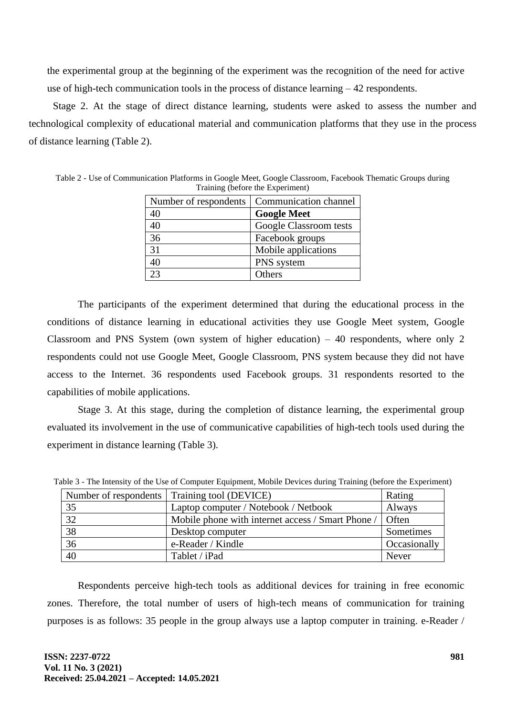the experimental group at the beginning of the experiment was the recognition of the need for active use of high-tech communication tools in the process of distance learning  $-42$  respondents.

Stage 2. At the stage of direct distance learning, students were asked to assess the number and technological complexity of educational material and communication platforms that they use in the process of distance learning (Table 2).

| Number of respondents | Communication channel  |
|-----------------------|------------------------|
| 40                    | <b>Google Meet</b>     |
| 40                    | Google Classroom tests |
| 36                    | Facebook groups        |
| 31                    | Mobile applications    |
| 40                    | PNS system             |
| 13                    | Others                 |

Table 2 - Use of Communication Platforms in Google Meet, Google Classroom, Facebook Thematic Groups during Training (before the Experiment)

The participants of the experiment determined that during the educational process in the conditions of distance learning in educational activities they use Google Meet system, Google Classroom and PNS System (own system of higher education)  $-40$  respondents, where only 2 respondents could not use Google Meet, Google Classroom, PNS system because they did not have access to the Internet. 36 respondents used Facebook groups. 31 respondents resorted to the capabilities of mobile applications.

Stage 3. At this stage, during the completion of distance learning, the experimental group evaluated its involvement in the use of communicative capabilities of high-tech tools used during the experiment in distance learning (Table 3).

|                 | Number of respondents   Training tool (DEVICE)    | Rating        |
|-----------------|---------------------------------------------------|---------------|
| 35              | Laptop computer / Notebook / Netbook              | Always        |
| 32              | Mobile phone with internet access / Smart Phone / | <b>O</b> ften |
| 38              | Desktop computer                                  | Sometimes     |
| $\overline{36}$ | e-Reader / Kindle                                 | Occasionally  |
| 40              | Tablet / iPad                                     | Never         |

Table 3 - The Intensity of the Use of Computer Equipment, Mobile Devices during Training (before the Experiment)

Respondents perceive high-tech tools as additional devices for training in free economic zones. Therefore, the total number of users of high-tech means of communication for training purposes is as follows: 35 people in the group always use a laptop computer in training. e-Reader /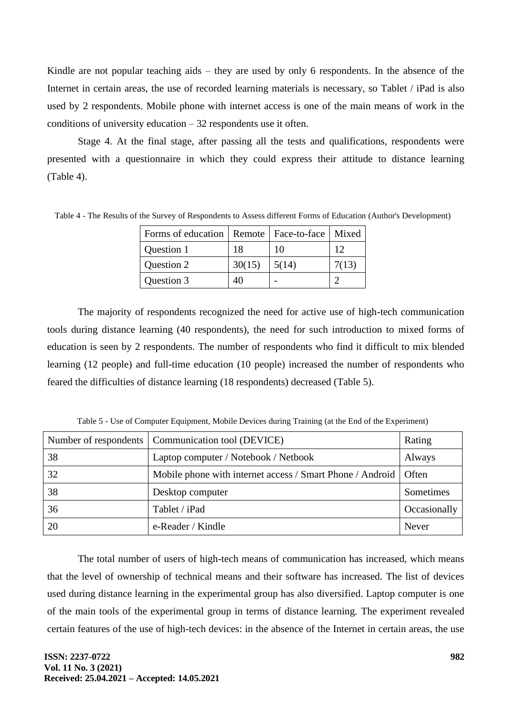Kindle are not popular teaching aids – they are used by only 6 respondents. In the absence of the Internet in certain areas, the use of recorded learning materials is necessary, so Tablet / iPad is also used by 2 respondents. Mobile phone with internet access is one of the main means of work in the conditions of university education  $-32$  respondents use it often.

Stage 4. At the final stage, after passing all the tests and qualifications, respondents were presented with a questionnaire in which they could express their attitude to distance learning (Table 4).

| Forms of education   Remote   Face-to-face   Mixed |        |       |       |
|----------------------------------------------------|--------|-------|-------|
| Question 1                                         | 18     | 10    |       |
| Question 2                                         | 30(15) | 5(14) | 7(13) |
| Question 3                                         |        |       |       |

Table 4 - The Results of the Survey of Respondents to Assess different Forms of Education (Author's Development)

The majority of respondents recognized the need for active use of high-tech communication tools during distance learning (40 respondents), the need for such introduction to mixed forms of education is seen by 2 respondents. The number of respondents who find it difficult to mix blended learning (12 people) and full-time education (10 people) increased the number of respondents who feared the difficulties of distance learning (18 respondents) decreased (Table 5).

Table 5 - Use of Computer Equipment, Mobile Devices during Training (at the End of the Experiment)

|    | Number of respondents   Communication tool (DEVICE)               | Rating       |
|----|-------------------------------------------------------------------|--------------|
| 38 | Laptop computer / Notebook / Netbook                              | Always       |
| 32 | Mobile phone with internet access / Smart Phone / Android   Often |              |
| 38 | Desktop computer                                                  | Sometimes    |
| 36 | Tablet / iPad                                                     | Occasionally |
| 20 | e-Reader / Kindle                                                 | Never        |

The total number of users of high-tech means of communication has increased, which means that the level of ownership of technical means and their software has increased. The list of devices used during distance learning in the experimental group has also diversified. Laptop computer is one of the main tools of the experimental group in terms of distance learning. The experiment revealed certain features of the use of high-tech devices: in the absence of the Internet in certain areas, the use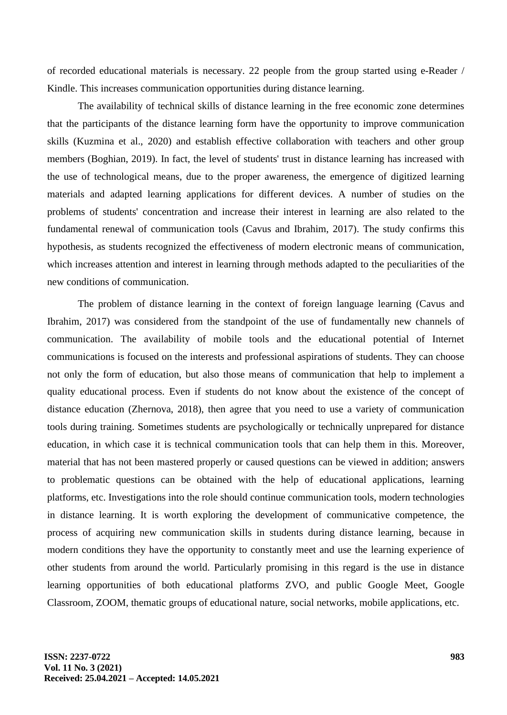of recorded educational materials is necessary. 22 people from the group started using e-Reader / Kindle. This increases communication opportunities during distance learning.

The availability of technical skills of distance learning in the free economic zone determines that the participants of the distance learning form have the opportunity to improve communication skills (Kuzmina et al., 2020) and establish effective collaboration with teachers and other group members (Boghian, 2019). In fact, the level of students' trust in distance learning has increased with the use of technological means, due to the proper awareness, the emergence of digitized learning materials and adapted learning applications for different devices. A number of studies on the problems of students' concentration and increase their interest in learning are also related to the fundamental renewal of communication tools (Cavus and Ibrahim, 2017). The study confirms this hypothesis, as students recognized the effectiveness of modern electronic means of communication, which increases attention and interest in learning through methods adapted to the peculiarities of the new conditions of communication.

The problem of distance learning in the context of foreign language learning (Cavus and Ibrahim, 2017) was considered from the standpoint of the use of fundamentally new channels of communication. The availability of mobile tools and the educational potential of Internet communications is focused on the interests and professional aspirations of students. They can choose not only the form of education, but also those means of communication that help to implement a quality educational process. Even if students do not know about the existence of the concept of distance education (Zhernova, 2018), then agree that you need to use a variety of communication tools during training. Sometimes students are psychologically or technically unprepared for distance education, in which case it is technical communication tools that can help them in this. Moreover, material that has not been mastered properly or caused questions can be viewed in addition; answers to problematic questions can be obtained with the help of educational applications, learning platforms, etc. Investigations into the role should continue communication tools, modern technologies in distance learning. It is worth exploring the development of communicative competence, the process of acquiring new communication skills in students during distance learning, because in modern conditions they have the opportunity to constantly meet and use the learning experience of other students from around the world. Particularly promising in this regard is the use in distance learning opportunities of both educational platforms ZVO, and public Google Meet, Google Classroom, ZOOM, thematic groups of educational nature, social networks, mobile applications, etc.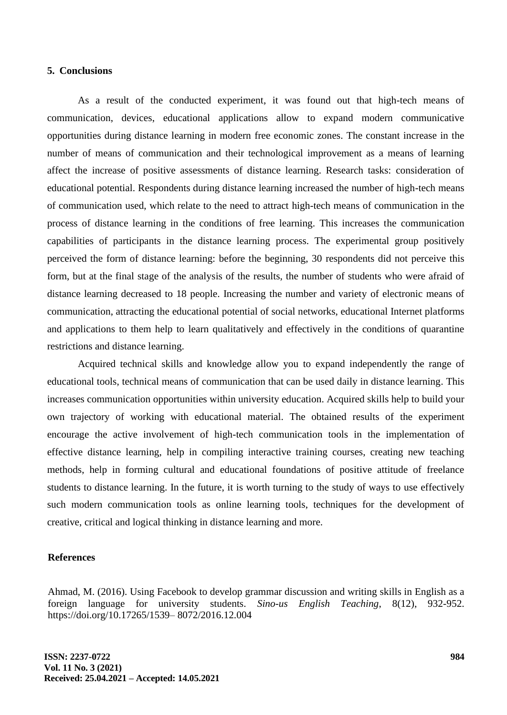#### **5. Conclusions**

As a result of the conducted experiment, it was found out that high-tech means of communication, devices, educational applications allow to expand modern communicative opportunities during distance learning in modern free economic zones. The constant increase in the number of means of communication and their technological improvement as a means of learning affect the increase of positive assessments of distance learning. Research tasks: consideration of educational potential. Respondents during distance learning increased the number of high-tech means of communication used, which relate to the need to attract high-tech means of communication in the process of distance learning in the conditions of free learning. This increases the communication capabilities of participants in the distance learning process. The experimental group positively perceived the form of distance learning: before the beginning, 30 respondents did not perceive this form, but at the final stage of the analysis of the results, the number of students who were afraid of distance learning decreased to 18 people. Increasing the number and variety of electronic means of communication, attracting the educational potential of social networks, educational Internet platforms and applications to them help to learn qualitatively and effectively in the conditions of quarantine restrictions and distance learning.

Acquired technical skills and knowledge allow you to expand independently the range of educational tools, technical means of communication that can be used daily in distance learning. This increases communication opportunities within university education. Acquired skills help to build your own trajectory of working with educational material. The obtained results of the experiment encourage the active involvement of high-tech communication tools in the implementation of effective distance learning, help in compiling interactive training courses, creating new teaching methods, help in forming cultural and educational foundations of positive attitude of freelance students to distance learning. In the future, it is worth turning to the study of ways to use effectively such modern communication tools as online learning tools, techniques for the development of creative, critical and logical thinking in distance learning and more.

#### **References**

Ahmad, M. (2016). Using Facebook to develop grammar discussion and writing skills in English as a foreign language for university students. *Sino-us English Teaching*, 8(12), 932-952. https://doi.org/10.17265/1539– 8072/2016.12.004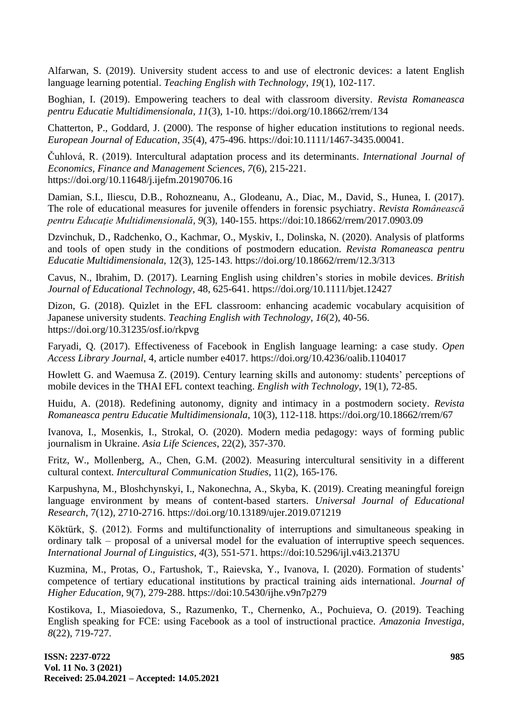Alfarwan, S. (2019). University student access to and use of electronic devices: a latent English language learning potential. *Teaching English with Technology*, *19*(1), 102-117.

Boghian, I. (2019). Empowering teachers to deal with classroom diversity. *Revista Romaneasca pentru Educatie Multidimensionala*, *11*(3), 1-10. https:/[/doi.org/10.18662/rrem/134](https://doi.org/10.18662/rrem/134)

Chatterton, P., Goddard, J. (2000). The response of higher education institutions to regional needs. *European Journal of Education*, *35*(4), 475-496. https://doi:10.1111/1467-3435.00041.

Čuhlová, R. (2019). Intercultural adaptation process and its determinants. *International Journal of Economics, Finance and Management Sc*i*ence*s, *7*(6), 215-221. https://doi.org/10.11648/j.ijefm.20190706.16

Damian, S.I., Iliescu, D.B., Rohozneanu, A., Glodeanu, A., Diac, M., David, S., Hunea, I. (2017). The role of educational measures for juvenile offenders in forensic psychiatry. *Revista Românească pentru Educaţie Multidimensională*, *9*(3), 140-155. https://doi:10.18662/rrem/2017.0903.09

Dzvinchuk, D., Radchenko, O., Kachmar, O., Myskiv, I., Dolinska, N. (2020). Analysis of platforms and tools of open study in the conditions of postmodern education. *Revista Romaneasca pentru Educatie Multidimensionala,* 12(3), 125-143.<https://doi.org/10.18662/rrem/12.3/313>

Cavus, N., Ibrahim, D. (2017). Learning English using children's stories in mobile devices. *British Journal of Educational Technology*, 48, 625-641. https://doi.org/10.1111/bjet.12427

Dizon, G. (2018). Quizlet in the EFL classroom: enhancing academic vocabulary acquisition of Japanese university students. *Teaching English with Technology*, *16*(2), 40-56. https:/[/doi.org/10.31235/osf.io/rkpvg](https://doi.org/10.31235/osf.io/rkpvg)

Faryadi, Q. (2017). Effectiveness of Facebook in English language learning: a case study. *Open Access Library Journal*, 4, article number e4017.<https://doi.org/10.4236/oalib.1104017>

Howlett G. and Waemusa Z. (2019). Сentury learning skills and autonomy: students' perceptions of mobile devices in the THAI EFL context teaching. *English with Technology*, 19(1), 72-85.

Huidu, A. (2018). Redefining autonomy, dignity and intimacy in a postmodern society. *Revista Romaneasca pentru Educatie Multidimensionala*, 10(3), 112-118. https://doi.org/10.18662/rrem/67

Ivanova, I., Mosenkis, I., Strokal, O. (2020). Modern media pedagogy: ways of forming public journalism in Ukraine. *Asia Life Sciences*, 22(2), 357-370.

Fritz, W., Mollenberg, A., Chen, G.M. (2002). Measuring intercultural sensitivity in a different cultural context. *Intercultural Communication Studies*, 11(2), 165-176.

Karpushyna, M., Bloshchynskyi, I., Nakonechna, A., Skyba, K. (2019). Creating meaningful foreign language environment by means of content-based starters. *Universal Journal of Educational Research*, 7(12), 2710-2716. https://doi.org/10.13189/ujer.2019.071219

Köktürk, Ş. (2012). Forms and multifunctionality of interruptions and simultaneous speaking in ordinary talk – proposal of a universal model for the evaluation of interruptive speech sequences. *International Journal of Linguistics*, *4*(3), 551-571. https://doi:10.5296/ijl.v4i3.2137U

Kuzmina, M., Protas, O., Fartushok, T., Raievska, Y., Ivanova, I. (2020). Formation of students' competence of tertiary educational institutions by practical training aids international. *Journal of Higher Education*, 9(7), 279-288. https:/[/doi:10.5430/ijhe.v9n7p279](https://doi:10.5430/ijhe.v9n7p279)

Kostikova, I., Miasoiedova, S., Razumenko, T., Chernenko, A., Pochuieva, O. (2019). Teaching English speaking for FCE: using Facebook as a tool of instructional practice. *Amazonia Investiga*, *8*(22), 719-727.

**ISSN: 2237-0722 Vol. 11 No. 3 (2021) Received: 25.04.2021 – Accepted: 14.05.2021**